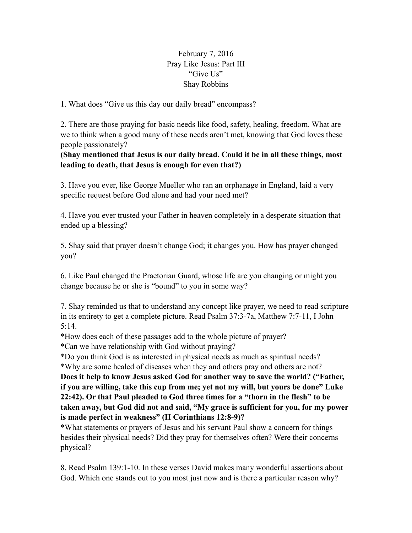February 7, 2016 Pray Like Jesus: Part III "Give Us" Shay Robbins

1. What does "Give us this day our daily bread" encompass?

2. There are those praying for basic needs like food, safety, healing, freedom. What are we to think when a good many of these needs aren't met, knowing that God loves these people passionately?

**(Shay mentioned that Jesus is our daily bread. Could it be in all these things, most leading to death, that Jesus is enough for even that?)** 

3. Have you ever, like George Mueller who ran an orphanage in England, laid a very specific request before God alone and had your need met?

4. Have you ever trusted your Father in heaven completely in a desperate situation that ended up a blessing?

5. Shay said that prayer doesn't change God; it changes you. How has prayer changed you?

6. Like Paul changed the Praetorian Guard, whose life are you changing or might you change because he or she is "bound" to you in some way?

7. Shay reminded us that to understand any concept like prayer, we need to read scripture in its entirety to get a complete picture. Read Psalm 37:3-7a, Matthew 7:7-11, I John 5:14.

\*How does each of these passages add to the whole picture of prayer?

\*Can we have relationship with God without praying?

\*Do you think God is as interested in physical needs as much as spiritual needs? \*Why are some healed of diseases when they and others pray and others are not?

**Does it help to know Jesus asked God for another way to save the world? ("Father, if you are willing, take this cup from me; yet not my will, but yours be done" Luke 22:42). Or that Paul pleaded to God three times for a "thorn in the flesh" to be taken away, but God did not and said, "My grace is sufficient for you, for my power is made perfect in weakness" (II Corinthians 12:8-9)?** 

\*What statements or prayers of Jesus and his servant Paul show a concern for things besides their physical needs? Did they pray for themselves often? Were their concerns physical?

8. Read Psalm 139:1-10. In these verses David makes many wonderful assertions about God. Which one stands out to you most just now and is there a particular reason why?